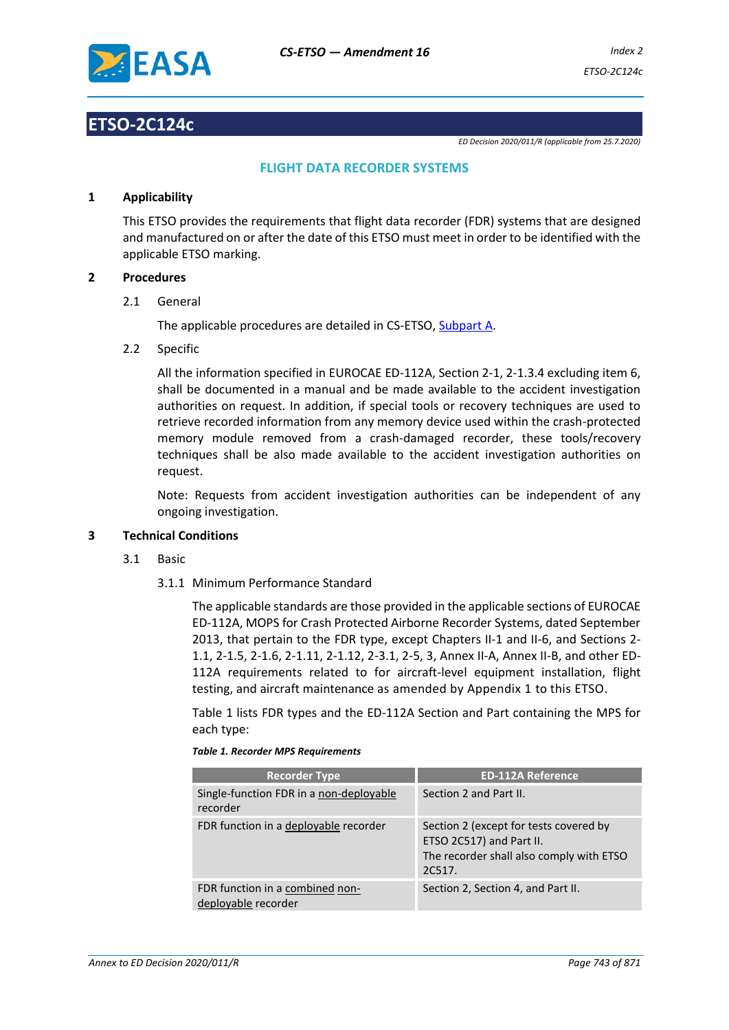

# **ETSO-2C124c**

*ED Decision 2020/011/R (applicable from 25.7.2020)*

# **FLIGHT DATA RECORDER SYSTEMS**

# **1 Applicability**

This ETSO provides the requirements that flight data recorder (FDR) systems that are designed and manufactured on or after the date of this ETSO must meet in order to be identified with the applicable ETSO marking.

# **2 Procedures**

2.1 General

The applicable procedures are detailed in CS-ETSO, Subpart A.

2.2 Specific

All the information specified in EUROCAE ED-112A, Section 2-1, 2-1.3.4 excluding item 6, shall be documented in a manual and be made available to the accident investigation authorities on request. In addition, if special tools or recovery techniques are used to retrieve recorded information from any memory device used within the crash-protected memory module removed from a crash-damaged recorder, these tools/recovery techniques shall be also made available to the accident investigation authorities on request.

Note: Requests from accident investigation authorities can be independent of any ongoing investigation.

# **3 Technical Conditions**

- 3.1 Basic
	- 3.1.1 Minimum Performance Standard

The applicable standards are those provided in the applicable sections of EUROCAE ED-112A, MOPS for Crash Protected Airborne Recorder Systems, dated September 2013, that pertain to the FDR type, except Chapters II-1 and II-6, and Sections 2- 1.1, 2-1.5, 2-1.6, 2-1.11, 2-1.12, 2-3.1, 2-5, 3, Annex II-A, Annex II-B, and other ED-112A requirements related to for aircraft-level equipment installation, flight testing, and aircraft maintenance as amended by Appendix 1 to this ETSO.

Table 1 lists FDR types and the ED-112A Section and Part containing the MPS for each type:

|  |  |  | <b>Table 1. Recorder MPS Requirements</b> |
|--|--|--|-------------------------------------------|
|--|--|--|-------------------------------------------|

| <b>Recorder Type</b>                                   | <b>ED-112A Reference</b>                                                                                                 |
|--------------------------------------------------------|--------------------------------------------------------------------------------------------------------------------------|
| Single-function FDR in a non-deployable<br>recorder    | Section 2 and Part II.                                                                                                   |
| FDR function in a deployable recorder                  | Section 2 (except for tests covered by<br>ETSO 2C517) and Part II.<br>The recorder shall also comply with ETSO<br>2C517. |
| FDR function in a combined non-<br>deployable recorder | Section 2, Section 4, and Part II.                                                                                       |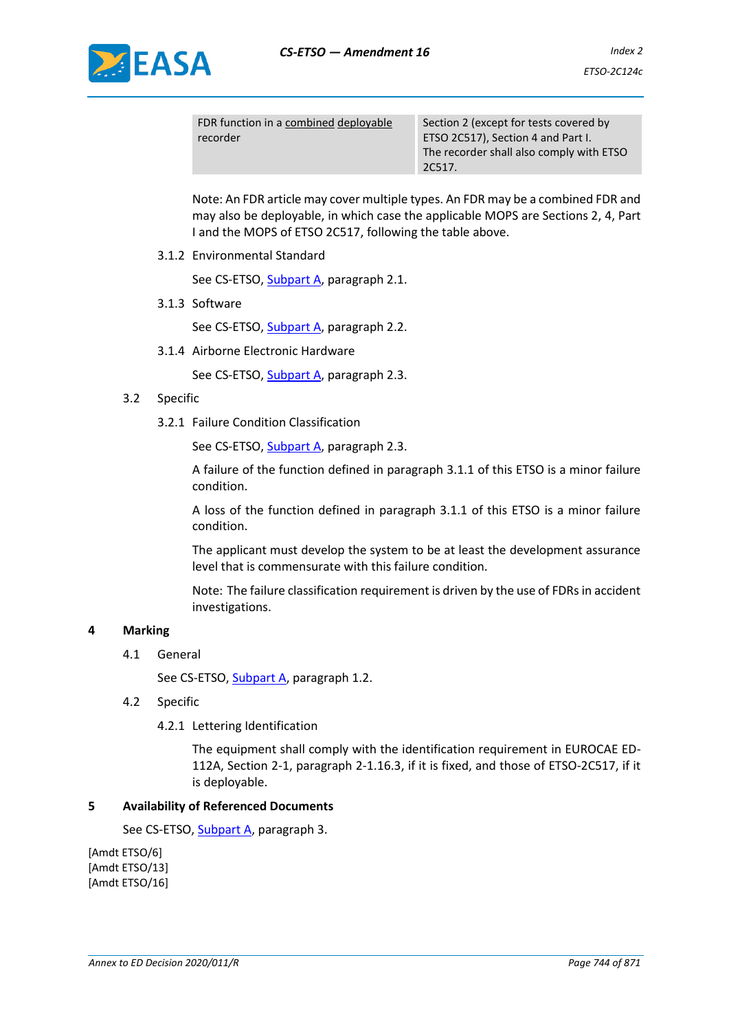

| FDR function in a combined deployable | Section            |
|---------------------------------------|--------------------|
| recorder                              | ETSO <sub>20</sub> |
|                                       | The rec            |
|                                       | 20517              |

2 (except for tests covered by 2517), Section 4 and Part I. order shall also comply with ETSO  $\overline{\phantom{1}}$  2C517.

Note: An FDR article may cover multiple types. An FDR may be a combined FDR and may also be deployable, in which case the applicable MOPS are Sections 2, 4, Part I and the MOPS of ETSO 2C517, following the table above.

3.1.2 Environmental Standard

See CS-ETSO, Subpart A, paragraph 2.1.

3.1.3 Software

See CS-ETSO, Subpart A, paragraph 2.2.

3.1.4 Airborne Electronic Hardware

See CS-ETSO, Subpart A, paragraph 2.3.

# 3.2 Specific

3.2.1 Failure Condition Classification

See CS-ETSO, Subpart A, paragraph 2.3.

A failure of the function defined in paragraph 3.1.1 of this ETSO is a minor failure condition.

A loss of the function defined in paragraph 3.1.1 of this ETSO is a minor failure condition.

The applicant must develop the system to be at least the development assurance level that is commensurate with this failure condition.

Note: The failure classification requirement is driven by the use of FDRs in accident investigations.

# **4 Marking**

4.1 General

See CS-ETSO, Subpart A, paragraph 1.2.

- 4.2 Specific
	- 4.2.1 Lettering Identification

The equipment shall comply with the identification requirement in EUROCAE ED-112A, Section 2-1, paragraph 2-1.16.3, if it is fixed, and those of ETSO-2C517, if it is deployable.

# **5 Availability of Referenced Documents**

See CS-ETSO, Subpart A, paragraph 3.

[Amdt ETSO/6] [Amdt ETSO/13] [Amdt ETSO/16]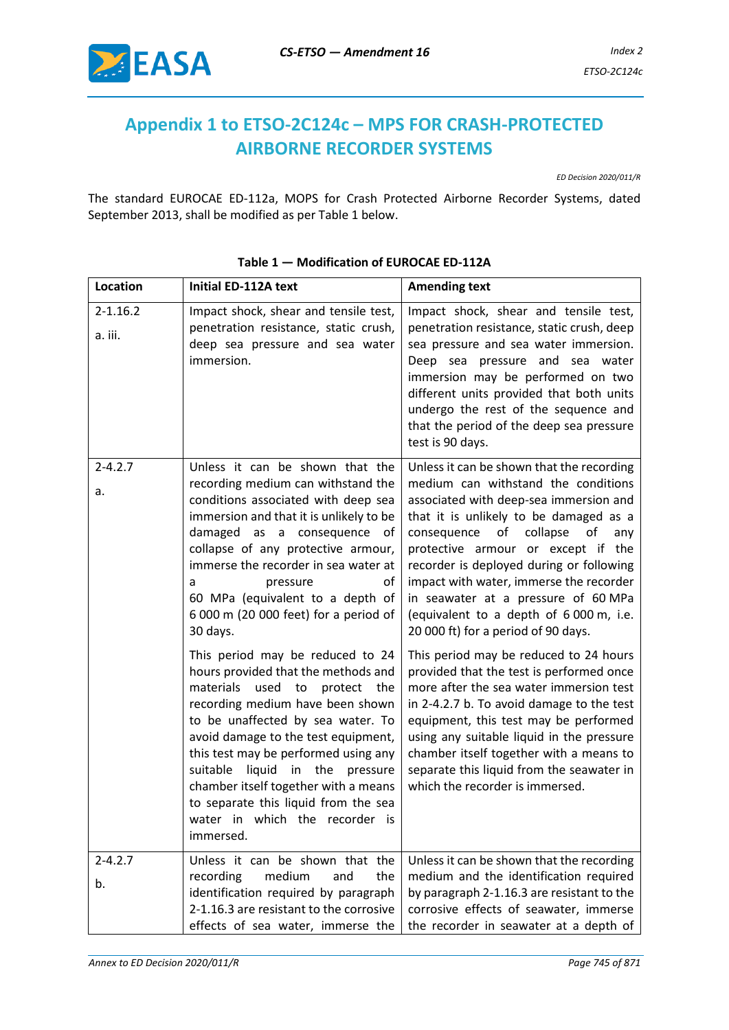

# **Appendix 1 to ETSO-2C124c – MPS FOR CRASH-PROTECTED AIRBORNE RECORDER SYSTEMS**

*ED Decision 2020/011/R*

The standard EUROCAE ED-112a, MOPS for Crash Protected Airborne Recorder Systems, dated September 2013, shall be modified as per Table 1 below.

| <b>Location</b>         | Initial ED-112A text                                                                                                                                                                                                                                                                                                                                                                                                                                                                                                                                                                                                                                                                                                                                                                          | <b>Amending text</b>                                                                                                                                                                                                                                                                                                                                                                                                                                                                                                                                                                                                                                                                                                                                                                                                                                              |
|-------------------------|-----------------------------------------------------------------------------------------------------------------------------------------------------------------------------------------------------------------------------------------------------------------------------------------------------------------------------------------------------------------------------------------------------------------------------------------------------------------------------------------------------------------------------------------------------------------------------------------------------------------------------------------------------------------------------------------------------------------------------------------------------------------------------------------------|-------------------------------------------------------------------------------------------------------------------------------------------------------------------------------------------------------------------------------------------------------------------------------------------------------------------------------------------------------------------------------------------------------------------------------------------------------------------------------------------------------------------------------------------------------------------------------------------------------------------------------------------------------------------------------------------------------------------------------------------------------------------------------------------------------------------------------------------------------------------|
| $2 - 1.16.2$<br>a. iii. | Impact shock, shear and tensile test,<br>penetration resistance, static crush,<br>deep sea pressure and sea water<br>immersion.                                                                                                                                                                                                                                                                                                                                                                                                                                                                                                                                                                                                                                                               | Impact shock, shear and tensile test,<br>penetration resistance, static crush, deep<br>sea pressure and sea water immersion.<br>Deep sea pressure and sea water<br>immersion may be performed on two<br>different units provided that both units<br>undergo the rest of the sequence and<br>that the period of the deep sea pressure<br>test is 90 days.                                                                                                                                                                                                                                                                                                                                                                                                                                                                                                          |
| $2 - 4.2.7$<br>a.       | Unless it can be shown that the<br>recording medium can withstand the<br>conditions associated with deep sea<br>immersion and that it is unlikely to be<br>damaged as a consequence of<br>collapse of any protective armour,<br>immerse the recorder in sea water at<br>pressure<br>οf<br>a<br>60 MPa (equivalent to a depth of<br>6 000 m (20 000 feet) for a period of<br>30 days.<br>This period may be reduced to 24<br>hours provided that the methods and<br>materials<br>used<br>to<br>protect<br>the<br>recording medium have been shown<br>to be unaffected by sea water. To<br>avoid damage to the test equipment,<br>this test may be performed using any<br>liquid in the<br>suitable<br>pressure<br>chamber itself together with a means<br>to separate this liquid from the sea | Unless it can be shown that the recording<br>medium can withstand the conditions<br>associated with deep-sea immersion and<br>that it is unlikely to be damaged as a<br>consequence of collapse<br>of<br>any<br>protective armour or except if the<br>recorder is deployed during or following<br>impact with water, immerse the recorder<br>in seawater at a pressure of 60 MPa<br>(equivalent to a depth of 6 000 m, i.e.<br>20 000 ft) for a period of 90 days.<br>This period may be reduced to 24 hours<br>provided that the test is performed once<br>more after the sea water immersion test<br>in 2-4.2.7 b. To avoid damage to the test<br>equipment, this test may be performed<br>using any suitable liquid in the pressure<br>chamber itself together with a means to<br>separate this liquid from the seawater in<br>which the recorder is immersed. |
|                         | water in which the recorder is<br>immersed.                                                                                                                                                                                                                                                                                                                                                                                                                                                                                                                                                                                                                                                                                                                                                   |                                                                                                                                                                                                                                                                                                                                                                                                                                                                                                                                                                                                                                                                                                                                                                                                                                                                   |
| $2 - 4.2.7$<br>b.       | Unless it can be shown that the<br>recording<br>medium<br>the<br>and<br>identification required by paragraph<br>2-1.16.3 are resistant to the corrosive<br>effects of sea water, immerse the                                                                                                                                                                                                                                                                                                                                                                                                                                                                                                                                                                                                  | Unless it can be shown that the recording<br>medium and the identification required<br>by paragraph 2-1.16.3 are resistant to the<br>corrosive effects of seawater, immerse<br>the recorder in seawater at a depth of                                                                                                                                                                                                                                                                                                                                                                                                                                                                                                                                                                                                                                             |

# **Table 1 — Modification of EUROCAE ED-112A**